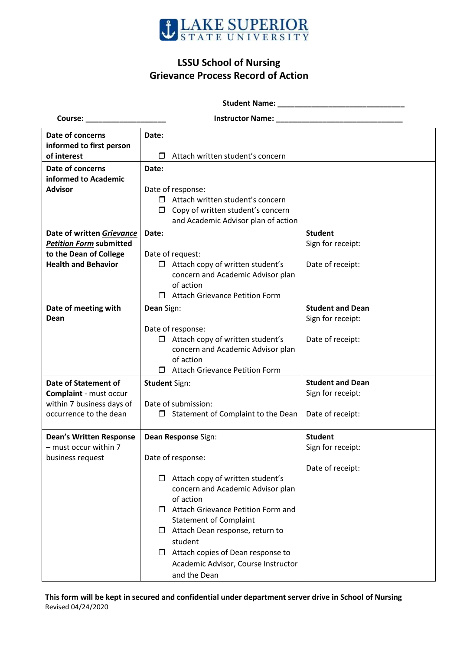

## **LSSU School of Nursing Grievance Process Record of Action**

 **Student Name: \_\_\_\_\_\_\_\_\_\_\_\_\_\_\_\_\_\_\_\_\_\_\_\_\_\_\_\_\_\_**

**Course: \_\_\_\_\_\_\_\_\_\_\_\_\_\_\_\_\_\_\_ Instructor Name: \_\_\_\_\_\_\_\_\_\_\_\_\_\_\_\_\_\_\_\_\_\_\_\_\_\_\_\_\_\_** 

| Date of concerns               | Date:                |                                         |                         |
|--------------------------------|----------------------|-----------------------------------------|-------------------------|
| informed to first person       |                      |                                         |                         |
| of interest                    | ⊓                    | Attach written student's concern        |                         |
| Date of concerns               | Date:                |                                         |                         |
| informed to Academic           |                      |                                         |                         |
| <b>Advisor</b>                 | Date of response:    |                                         |                         |
|                                | $\Box$               | Attach written student's concern        |                         |
|                                | $\Box$               | Copy of written student's concern       |                         |
|                                |                      | and Academic Advisor plan of action     |                         |
| Date of written Grievance      | Date:                |                                         | <b>Student</b>          |
| <b>Petition Form submitted</b> |                      |                                         | Sign for receipt:       |
| to the Dean of College         |                      | Date of request:                        |                         |
| <b>Health and Behavior</b>     |                      | $\Box$ Attach copy of written student's | Date of receipt:        |
|                                |                      | concern and Academic Advisor plan       |                         |
|                                |                      | of action                               |                         |
|                                | $\Box$               | <b>Attach Grievance Petition Form</b>   |                         |
|                                | Dean Sign:           |                                         | <b>Student and Dean</b> |
| Date of meeting with<br>Dean   |                      |                                         | Sign for receipt:       |
|                                |                      | Date of response:                       |                         |
|                                | □                    | Attach copy of written student's        | Date of receipt:        |
|                                |                      | concern and Academic Advisor plan       |                         |
|                                |                      | of action                               |                         |
|                                |                      | <b>Attach Grievance Petition Form</b>   |                         |
|                                |                      |                                         |                         |
| <b>Date of Statement of</b>    | <b>Student Sign:</b> |                                         | <b>Student and Dean</b> |
| Complaint - must occur         |                      |                                         | Sign for receipt:       |
| within 7 business days of      | Date of submission:  |                                         |                         |
| occurrence to the dean         | $\Box$               | Statement of Complaint to the Dean      | Date of receipt:        |
|                                |                      |                                         |                         |
| <b>Dean's Written Response</b> | Dean Response Sign:  |                                         | <b>Student</b>          |
| - must occur within 7          |                      |                                         | Sign for receipt:       |
| business request               | Date of response:    |                                         |                         |
|                                |                      |                                         | Date of receipt:        |
|                                |                      | Attach copy of written student's        |                         |
|                                |                      | concern and Academic Advisor plan       |                         |
|                                |                      | of action                               |                         |
|                                |                      | □ Attach Grievance Petition Form and    |                         |
|                                |                      | <b>Statement of Complaint</b>           |                         |
|                                |                      | $\Box$ Attach Dean response, return to  |                         |
|                                |                      | student                                 |                         |
|                                | $\Box$               | Attach copies of Dean response to       |                         |
|                                |                      | Academic Advisor, Course Instructor     |                         |
|                                |                      | and the Dean                            |                         |

**This form will be kept in secured and confidential under department server drive in School of Nursing** Revised 04/24/2020